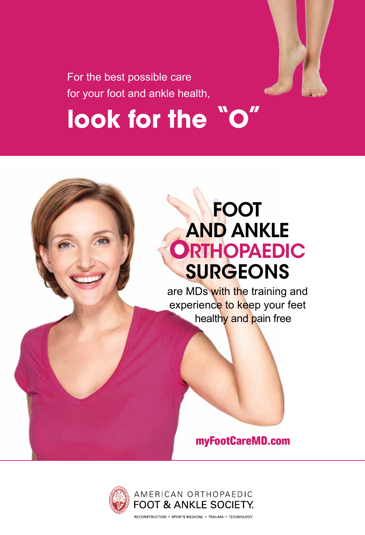

For the best possible care for your foot and ankle health,

# look for the "O"

## **FOOT** AND ANKLE **ORTHOPAEDIC SURGEONS**

are MDs with the training and experience to keep your feet healthy and pain free

#### **myFootCareMD.com**



RECONSTRUCTION . SPORTS MEDICINE . TRAUMA . TECHNOLOGY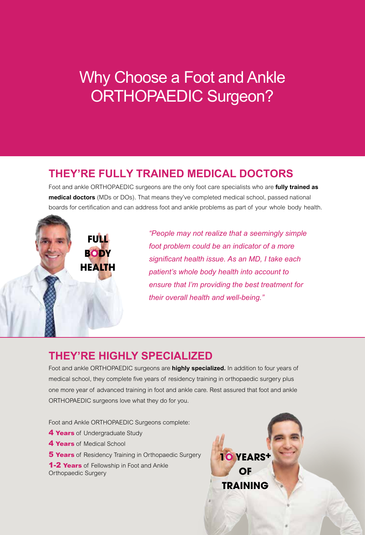## Why Choose a Foot and Ankle ORTHOPAEDIC Surgeon?

#### **THEY'RE FULLY TRAINED MEDICAL DOCTORS**

Foot and ankle ORTHOPAEDIC surgeons are the only foot care specialists who are **fully trained as medical doctors** (MDs or DOs). That means they've completed medical school, passed national boards for certification and can address foot and ankle problems as part of your whole body health.

> **BODY HEALTH**

**FULL** 

*"People may not realize that a seemingly simple foot problem could be an indicator of a more significant health issue. As an MD, I take each patient's whole body health into account to ensure that I'm providing the best treatment for their overall health and well-being."*

#### **THEY'RE HIGHLY SPECIALIZED**

Foot and ankle ORTHOPAEDIC surgeons are **highly specialized.** In addition to four years of medical school, they complete five years of residency training in orthopaedic surgery plus one more year of advanced training in foot and ankle care. Rest assured that foot and ankle ORTHOPAEDIC surgeons love what they do for you.

Foot and Ankle ORTHOPAEDIC Surgeons complete:

- **4 Years** of Undergraduate Study
- **4 Years** of Medical School
- **5 Years** of Residency Training in Orthopaedic Surgery

**1-2 Years** of Fellowship in Foot and Ankle Orthopaedic Surgery

**1O YEARS+ OF TRAINING**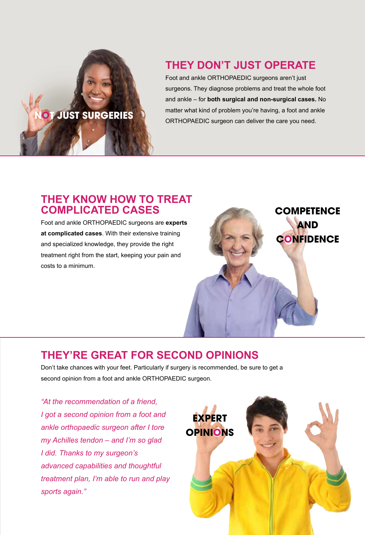# **NOT JUST SURGERIES**

#### **THEY DON'T JUST OPERATE**

Foot and ankle ORTHOPAEDIC surgeons aren't just surgeons. They diagnose problems and treat the whole foot and ankle – for **both surgical and non-surgical cases.** No matter what kind of problem you're having, a foot and ankle ORTHOPAEDIC surgeon can deliver the care you need.

#### **THEY KNOW HOW TO TREAT COMPLICATED CASES**

Foot and ankle ORTHOPAEDIC surgeons are **experts at complicated cases**. With their extensive training and specialized knowledge, they provide the right treatment right from the start, keeping your pain and costs to a minimum.



#### **THEY'RE GREAT FOR SECOND OPINIONS**

Don't take chances with your feet. Particularly if surgery is recommended, be sure to get a second opinion from a foot and ankle ORTHOPAEDIC surgeon.

*"At the recommendation of a friend, I got a second opinion from a foot and ankle orthopaedic surgeon after I tore my Achilles tendon – and I'm so glad I did. Thanks to my surgeon's advanced capabilities and thoughtful treatment plan, I'm able to run and play sports again."*